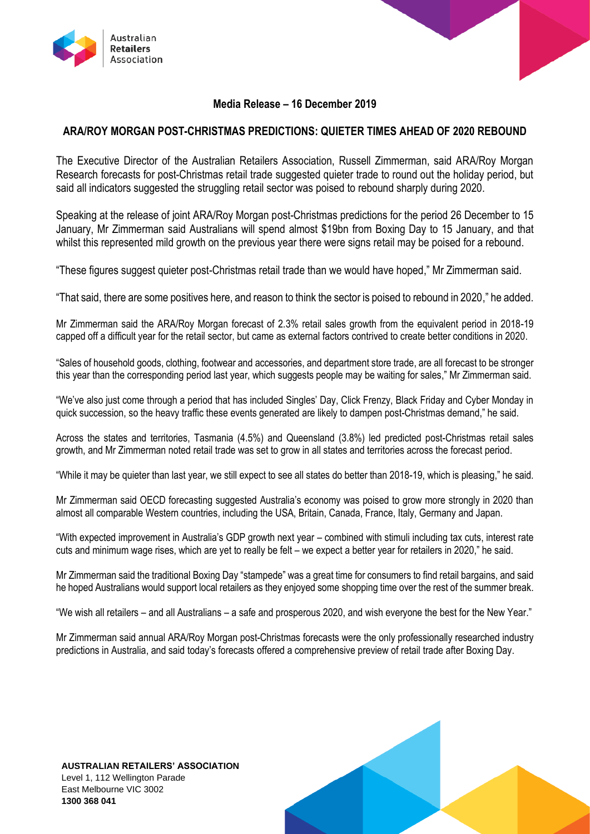

# **Media Release – 16 December 2019**

# **ARA/ROY MORGAN POST-CHRISTMAS PREDICTIONS: QUIETER TIMES AHEAD OF 2020 REBOUND**

The Executive Director of the Australian Retailers Association, Russell Zimmerman, said ARA/Roy Morgan Research forecasts for post-Christmas retail trade suggested quieter trade to round out the holiday period, but said all indicators suggested the struggling retail sector was poised to rebound sharply during 2020.

Speaking at the release of joint ARA/Roy Morgan post-Christmas predictions for the period 26 December to 15 January, Mr Zimmerman said Australians will spend almost \$19bn from Boxing Day to 15 January, and that whilst this represented mild growth on the previous year there were signs retail may be poised for a rebound.

"These figures suggest quieter post-Christmas retail trade than we would have hoped," Mr Zimmerman said.

"That said, there are some positives here, and reason to think the sector is poised to rebound in 2020," he added.

Mr Zimmerman said the ARA/Roy Morgan forecast of 2.3% retail sales growth from the equivalent period in 2018-19 capped off a difficult year for the retail sector, but came as external factors contrived to create better conditions in 2020.

"Sales of household goods, clothing, footwear and accessories, and department store trade, are all forecast to be stronger this year than the corresponding period last year, which suggests people may be waiting for sales," Mr Zimmerman said.

"We've also just come through a period that has included Singles' Day, Click Frenzy, Black Friday and Cyber Monday in quick succession, so the heavy traffic these events generated are likely to dampen post-Christmas demand," he said.

Across the states and territories, Tasmania (4.5%) and Queensland (3.8%) led predicted post-Christmas retail sales growth, and Mr Zimmerman noted retail trade was set to grow in all states and territories across the forecast period.

"While it may be quieter than last year, we still expect to see all states do better than 2018-19, which is pleasing," he said.

Mr Zimmerman said OECD forecasting suggested Australia's economy was poised to grow more strongly in 2020 than almost all comparable Western countries, including the USA, Britain, Canada, France, Italy, Germany and Japan.

"With expected improvement in Australia's GDP growth next year – combined with stimuli including tax cuts, interest rate cuts and minimum wage rises, which are yet to really be felt – we expect a better year for retailers in 2020," he said.

Mr Zimmerman said the traditional Boxing Day "stampede" was a great time for consumers to find retail bargains, and said he hoped Australians would support local retailers as they enjoyed some shopping time over the rest of the summer break.

"We wish all retailers – and all Australians – a safe and prosperous 2020, and wish everyone the best for the New Year."

Mr Zimmerman said annual ARA/Roy Morgan post-Christmas forecasts were the only professionally researched industry predictions in Australia, and said today's forecasts offered a comprehensive preview of retail trade after Boxing Day.